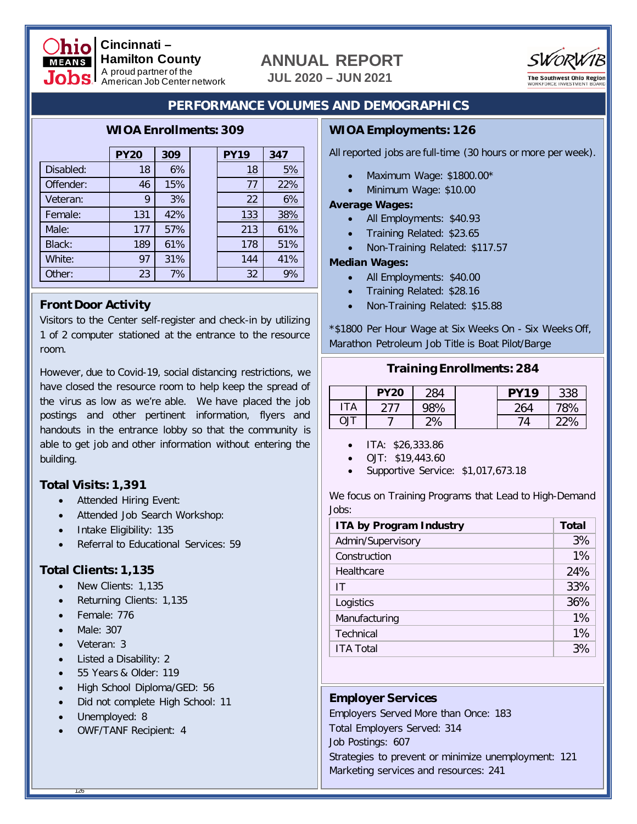

#### **Cincinnati – Hamilton County** A proud partner of the American Job Center network

# **ANNUAL REPORT**

**JUL 2020 – JUN 2021**



# **PERFORMANCE VOLUMES AND DEMOGRAPHICS**

## **WIOA Enrollments: 309**

|           | <b>PY20</b> | 309 | <b>PY19</b> | 347 |
|-----------|-------------|-----|-------------|-----|
| Disabled: | 18          | 6%  | <u> 18</u>  | 5%  |
| Offender: | 46          | 15% | 77          | 22% |
| Veteran:  | 9           | 3%  | 22          | 6%  |
| Female:   | 131         | 42% | 133         | 38% |
| Male:     | 177         | 57% | 213         | 61% |
| Black:    | 189         | 61% | 178         | 51% |
| White:    | 97          | 31% | 144         | 41% |
| Other:    | 23          | 7%  | 32          | 9%  |

## **Front Door Activity**

Visitors to the Center self-register and check-in by utilizing 1 of 2 computer stationed at the entrance to the resource room.

However, due to Covid-19, social distancing restrictions, we have closed the resource room to help keep the spread of the virus as low as we're able. We have placed the job postings and other pertinent information, flyers and handouts in the entrance lobby so that the community is able to get job and other information without entering the building.

# **Total Visits: 1,391**

- Attended Hiring Event:
- Attended Job Search Workshop:
- Intake Eligibility: 135
- Referral to Educational Services: 59

# **Total Clients: 1,135**

- New Clients: 1,135
- Returning Clients: 1,135
- Female: 776
- Male: 307
- Veteran: 3
- Listed a Disability: 2
- 55 Years & Older: 119
- High School Diploma/GED: 56
- Did not complete High School: 11
- Unemployed: 8
- OWF/TANF Recipient: 4

# **WIOA Employments: 126**

All reported jobs are full-time (30 hours or more per week).

- Maximum Wage: \$1800.00\*
- Minimum Wage: \$10.00

### **Average Wages:**

- All Employments: \$40.93
- Training Related: \$23.65
- Non-Training Related: \$117.57

### **Median Wages:**

- All Employments: \$40.00
- Training Related: \$28.16
- Non-Training Related: \$15.88

\*\$1800 Per Hour Wage at Six Weeks On - Six Weeks Off, Marathon Petroleum Job Title is Boat Pilot/Barge

|            |  | <b>Training Enrollments: 284</b> |  |
|------------|--|----------------------------------|--|
| $PV20$ 284 |  | DV10                             |  |

|     | <b>PY20</b> | 284 | DV <sub>19</sub> | 338  |
|-----|-------------|-----|------------------|------|
| ۱TA |             | 98% | 264              | 78%  |
| TlC |             | 2%  | 74               | 220/ |

- ITA: \$26,333.86
- OJT: \$19,443.60
- Supportive Service: \$1,017,673.18

We focus on Training Programs that Lead to High-Demand Jobs:

| <b>ITA by Program Industry</b> |     |  |  |  |
|--------------------------------|-----|--|--|--|
| Admin/Supervisory              |     |  |  |  |
| Construction                   |     |  |  |  |
| Healthcare                     | 24% |  |  |  |
| IT                             | 33% |  |  |  |
| Logistics                      | 36% |  |  |  |
| Manufacturing                  | 1%  |  |  |  |
| Technical                      | 1%  |  |  |  |
| <b>ITA Total</b>               | 3%  |  |  |  |

# **Employer Services**

Employers Served More than Once: 183 Total Employers Served: 314 Job Postings: 607 Strategies to prevent or minimize unemployment: 121 Marketing services and resources: 241

126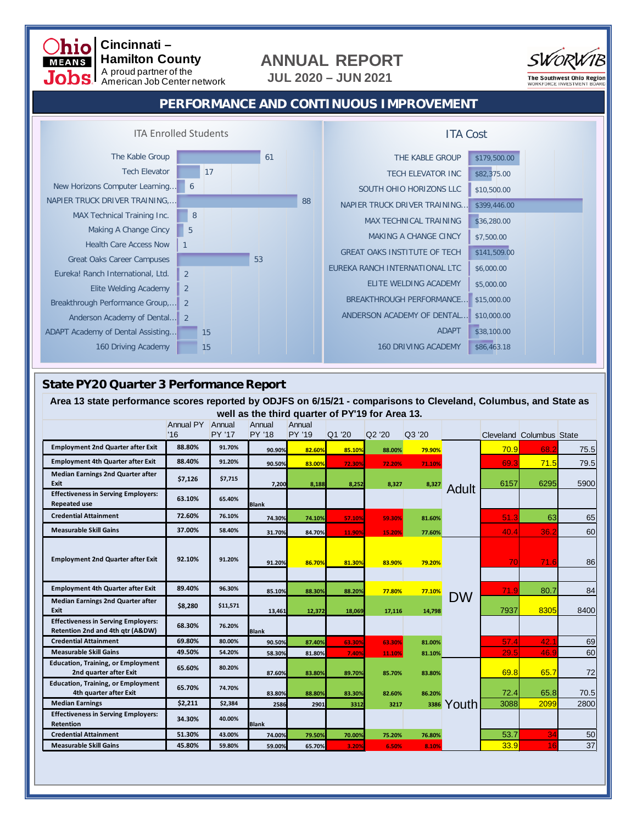# **ANNUAL REPORT**

**JUL 2020 – JUN 2021**



## **PERFORMANCE AND CONTINUOUS IMPROVEMENT**



## **State PY20 Quarter 3 Performance Report**

 **Cincinnati –**

**MEANS** 

 **Hamilton County** A proud partner of the American Job Center network

| Area 13 state performance scores reported by ODJFS on 6/15/21 - comparisons to Cleveland, Columbus, and State as |                         |          |                  |                                                 |        |        |        |           |      |                                 |      |
|------------------------------------------------------------------------------------------------------------------|-------------------------|----------|------------------|-------------------------------------------------|--------|--------|--------|-----------|------|---------------------------------|------|
|                                                                                                                  |                         |          |                  | well as the third quarter of PY'19 for Area 13. |        |        |        |           |      |                                 |      |
|                                                                                                                  | Annual PY Annual<br>'16 | PY '17   | Annual<br>PY '18 | Annual<br>PY '19                                | Q1 '20 | Q2 '20 | Q3 '20 |           |      | <b>Cleveland Columbus State</b> |      |
| <b>Employment 2nd Quarter after Exit</b>                                                                         | 88.80%                  | 91.70%   | 90.90%           | 82.60%                                          | 85.10% | 88.00% | 79.90% | Adult     | 70.9 | 68.2                            | 75.5 |
| <b>Employment 4th Quarter after Exit</b>                                                                         | 88.40%                  | 91.20%   | 90.50%           | 83.00%                                          | 72.30% | 72.20% | 71.10% |           | 69.3 | 71.5                            | 79.5 |
| <b>Median Earnings 2nd Quarter after</b><br><b>Exit</b>                                                          | \$7,126                 | \$7,715  | 7,200            | 8,188                                           | 8,252  | 8,327  | 8,327  |           | 6157 | 6295                            | 5900 |
| <b>Effectiveness in Serving Employers:</b><br><b>Repeated use</b>                                                | 63.10%                  | 65.40%   | <b>Blank</b>     |                                                 |        |        |        |           |      |                                 |      |
| <b>Credential Attainment</b>                                                                                     | 72.60%                  | 76.10%   | 74.30%           | 74.10%                                          | 57.10% | 59.30% | 81.60% |           | 51.3 | 63                              | 65   |
| <b>Measurable Skill Gains</b>                                                                                    | 37.00%                  | 58.40%   | 31.70%           | 84.70%                                          | 11.90% | 15.20% | 77.60% |           | 40.4 | 36.2                            | 60   |
| <b>Employment 2nd Quarter after Exit</b>                                                                         | 92.10%                  | 91.20%   | 91.20%           | 86.70%                                          | 81.30% | 83.90% | 79.20% |           | 70   | 71.6                            | 86   |
| <b>Employment 4th Quarter after Exit</b>                                                                         | 89.40%                  | 96.30%   | 85.10%           | 88.30%                                          | 88.20% | 77.80% | 77.10% |           | 71.9 | 80.7                            | 84   |
| <b>Median Earnings 2nd Quarter after</b><br>Exit                                                                 | \$8,280                 | \$11,571 | 13,461           | 12,372                                          | 18,069 | 17,116 | 14,798 | <b>DW</b> | 7937 | 8305                            | 8400 |
| <b>Effectiveness in Serving Employers:</b><br>Retention 2nd and 4th gtr (A&DW)                                   | 68.30%                  | 76.20%   | <b>Blank</b>     |                                                 |        |        |        |           |      |                                 |      |
| <b>Credential Attainment</b>                                                                                     | 69.80%                  | 80.00%   | 90.50%           | 87.40%                                          | 63.30% | 63.30% | 81.00% |           | 57.4 | 42.1                            | 69   |
| <b>Measurable Skill Gains</b>                                                                                    | 49.50%                  | 54.20%   | 58.30%           | 81.80%                                          | 7.40%  | 11.10% | 81.10% |           | 29.5 | 46.9                            | 60   |
| <b>Education, Training, or Employment</b><br>2nd quarter after Exit                                              | 65.60%                  | 80.20%   | 87.60%           | 83.80%                                          | 89.70% | 85.70% | 83.80% |           | 69.8 | 65.7                            | 72   |
| <b>Education, Training, or Employment</b><br>4th quarter after Exit                                              | 65.70%                  | 74.70%   | 83.80%           | 88.80%                                          | 83.30% | 82.60% | 86.20% |           | 72.4 | 65.8                            | 70.5 |
| <b>Median Earnings</b>                                                                                           | \$2,211                 | \$2,384  | 2586             | 2901                                            | 3312   | 3217   | 3386   | Youth     | 3088 | 2099                            | 2800 |
| <b>Effectiveness in Serving Employers:</b><br><b>Retention</b>                                                   | 34.30%                  | 40.00%   | <b>Blank</b>     |                                                 |        |        |        |           |      |                                 |      |
| <b>Credential Attainment</b>                                                                                     | 51.30%                  | 43.00%   | 74.00%           | 79.50%                                          | 70.00% | 75.20% | 76.80% |           | 53.7 | 34                              | 50   |
| <b>Measurable Skill Gains</b>                                                                                    | 45.80%                  | 59.80%   | 59.00%           | 65.70%                                          | 3.20%  | 6.50%  | 8.10%  |           | 33.9 | 16                              | 37   |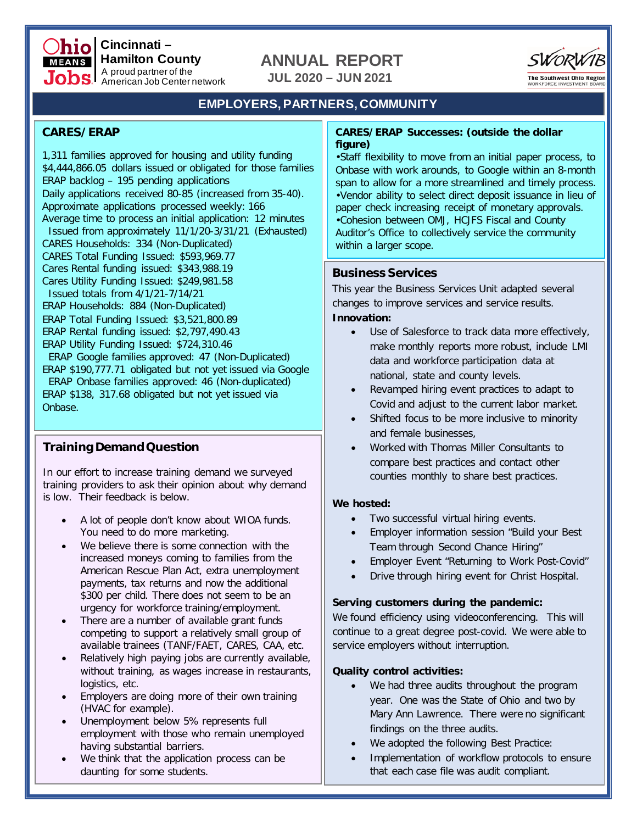

# **ANNUAL REPORT**

**JUL 2020 – JUN 2021**



# **EMPLOYERS, PARTNERS, COMMUNITY**

## **CARES/ERAP**

1,311 families approved for housing and utility funding \$4,444,866.05 dollars issued or obligated for those families ERAP backlog – 195 pending applications Daily applications received 80-85 (increased from 35-40). Approximate applications processed weekly: 166 Average time to process an initial application: 12 minutes Issued from approximately 11/1/20-3/31/21 (Exhausted) CARES Households: 334 (Non-Duplicated) CARES Total Funding Issued: \$593,969.77 Cares Rental funding issued: \$343,988.19 Cares Utility Funding Issued: \$249,981.58 Issued totals from 4/1/21-7/14/21 ERAP Households: 884 (Non-Duplicated) ERAP Total Funding Issued: \$3,521,800.89 ERAP Rental funding issued: \$2,797,490.43 ERAP Utility Funding Issued: \$724,310.46 ERAP Google families approved: 47 (Non-Duplicated) ERAP \$190,777.71 obligated but not yet issued via Google ERAP Onbase families approved: 46 (Non-duplicated) ERAP \$138, 317.68 obligated but not yet issued via Onbase.

# **Training Demand Question**

In our effort to increase training demand we surveyed training providers to ask their opinion about why demand is low. Their feedback is below.

- A lot of people don't know about WIOA funds. You need to do more marketing.
- We believe there is some connection with the increased moneys coming to families from the American Rescue Plan Act, extra unemployment payments, tax returns and now the additional \$300 per child. There does not seem to be an urgency for workforce training/employment.
- There are a number of available grant funds competing to support a relatively small group of available trainees (TANF/FAET, CARES, CAA, etc.
- Relatively high paying jobs are currently available, without training, as wages increase in restaurants, logistics, etc.
- Employers are doing more of their own training (HVAC for example).
- Unemployment below 5% represents full employment with those who remain unemployed having substantial barriers.
- We think that the application process can be daunting for some students.

### **CARES/ERAP Successes: (outside the dollar figure)**

•Staff flexibility to move from an initial paper process, to Onbase with work arounds, to Google within an 8-month span to allow for a more streamlined and timely process. •Vendor ability to select direct deposit issuance in lieu of paper check increasing receipt of monetary approvals. •Cohesion between OMJ, HCJFS Fiscal and County Auditor's Office to collectively service the community within a larger scope.

## **Business Services**

This year the Business Services Unit adapted several changes to improve services and service results.

### **Innovation:**

- Use of Salesforce to track data more effectively, make monthly reports more robust, include LMI data and workforce participation data at national, state and county levels.
- Revamped hiring event practices to adapt to Covid and adjust to the current labor market.
- Shifted focus to be more inclusive to minority and female businesses,
- Worked with Thomas Miller Consultants to compare best practices and contact other counties monthly to share best practices.

### **We hosted:**

- Two successful virtual hiring events.
- Employer information session "Build your Best Team through Second Chance Hiring"
- Employer Event "Returning to Work Post-Covid"
- Drive through hiring event for Christ Hospital.

### **Serving customers during the pandemic:**

We found efficiency using videoconferencing. This will continue to a great degree post-covid. We were able to service employers without interruption.

### **Quality control activities:**

- We had three audits throughout the program year. One was the State of Ohio and two by Mary Ann Lawrence. There were no significant findings on the three audits.
- We adopted the following Best Practice:
- Implementation of workflow protocols to ensure that each case file was audit compliant.